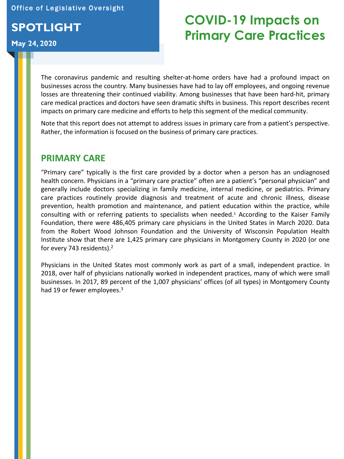Office of Legislative Oversight

## **SPOTLIGHT**

#### **May 24, 2020**

# **COVID-19 Impacts on Primary Care Practices**

The coronavirus pandemic and resulting shelter-at-home orders have had a profound impact on businesses across the country. Many businesses have had to lay off employees, and ongoing revenue losses are threatening their continued viability. Among businesses that have been hard-hit, primary care medical practices and doctors have seen dramatic shifts in business. This report describes recent impacts on primary care medicine and efforts to help this segment of the medical community.

Note that this report does not attempt to address issues in primary care from a patient's perspective. Rather, the information is focused on the business of primary care practices.

### **PRIMARY CARE**

"Primary care" typically is the first care provided by a doctor when a person has an undiagnosed health concern. Physicians in a "primary care practice" often are a patient's "personal physician" and generally include doctors specializing in family medicine, internal medicine, or pediatrics. Primary care practices routinely provide diagnosis and treatment of acute and chronic illness, disease prevention, health promotion and maintenance, and patient education within the practice, while consulting with or referring patients to specialists when needed. <sup>1</sup> According to the Kaiser Family Foundation, there were 486,405 primary care physicians in the United States in March 2020. Data from the Robert Wood Johnson Foundation and the University of Wisconsin Population Health Institute show that there are 1,425 primary care physicians in Montgomery County in 2020 (or one for every 743 residents). 2

Physicians in the United States most commonly work as part of a small, independent practice. In 2018, over half of physicians nationally worked in independent practices, many of which were small businesses. In 2017, 89 percent of the 1,007 physicians' offices (of all types) in Montgomery County had 19 or fewer employees.<sup>3</sup>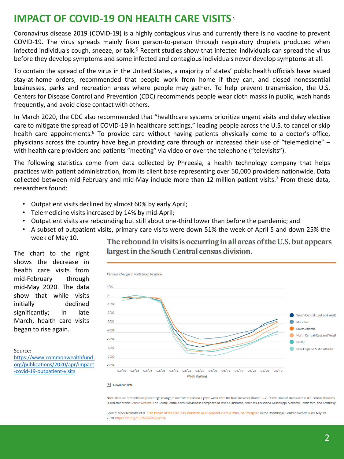## **IMPACT OF COVID-19 ON HEALTH CARE VISITS** <sup>4</sup>

Coronavirus disease 2019 (COVID-19) is a highly contagious virus and currently there is no vaccine to prevent COVID-19. The virus spreads mainly from person-to-person through respiratory droplets produced when infected individuals cough, sneeze, or talk.<sup>5</sup> Recent studies show that infected individuals can spread the virus before they develop symptoms and some infected and contagiousindividuals never develop symptoms at all.

To contain the spread of the virus in the United States, a majority of states' public health officials have issued stay-at-home orders, recommended that people work from home if they can, and closed nonessential businesses, parks and recreation areas where people may gather. To help prevent transmission, the U.S. Centers for Disease Control and Prevention (CDC) recommends people wear cloth masks in public, wash hands frequently, and avoid close contact with others.

In March 2020, the CDC also recommended that "healthcare systems prioritize urgent visits and delay elective care to mitigate the spread of COVID-19 in healthcare settings," leading people across the U.S. to cancel or skip health care appointments.<sup>6</sup> To provide care without having patients physically come to a doctor's office, physicians across the country have begun providing care through or increased their use of "telemedicine" – with health care providers and patients "meeting" via video or over the telephone ("televisits").

The following statistics come from data collected by Phreesia, a health technology company that helps practices with patient administration, from its client base representing over 50,000 providers nationwide. Data collected between mid-February and mid-May include more than 12 million patient visits. <sup>7</sup> From these data, researchers found:

- Outpatient visits declined by almost 60% by early April;
- Telemedicine visits increased by 14% by mid-April;
- Outpatient visits are rebounding but still about one-third lower than before the pandemic; and
- A subset of outpatient visits, primary care visits were down 51% the week of April 5 and down 25% the week of May 10.

The rebound in visits is occurring in all areas of the U.S. but appears largest in the South Central census division.

The chart to the right shows the decrease in health care visits from mid-February through mid-May 2020. The data show that while visits initially declined significantly; in late March, health care visits began to rise again.

Source:

https://www.commonwealthfund. [org/publications/2020/apr/impact](https://www.commonwealthfund.org/publications/2020/apr/impact-covid-19-outpatient-visits) -covid-19-outpatient-visits



#### $[\frac{1}{2}]$  Download data

Note: Data are presented as percentage change in number of visits in a given week from the baseline week (March 1-7). Distribution of states across U.S. census divisions is available at the Census website. The South Central census division is composed of Texas, Oklahoma, Arkansas, Louisiana, Mississippi, Alabama, Tennessee, and Kentucky.

Source: Ateev Mehrotra et al., "The Impact of the COVID-19 Pandemic on Outpatient Visits: A Rebound Emerges," To the Point (blog), Commonwealth Fund, May 19, 2020. https://doi.org/10.26099/ds9e-jm36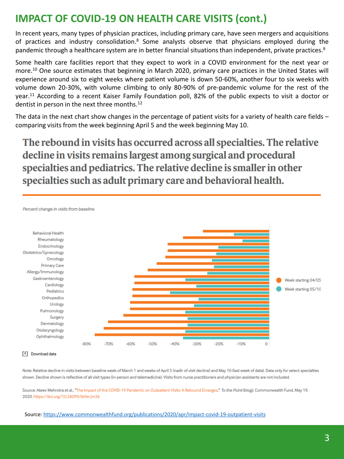## **IMPACT OF COVID-19 ON HEALTH CARE VISITS (cont.)**

In recent years, many types of physician practices, including primary care, have seen mergers and acquisitions of practices and industry consolidation.<sup>8</sup> Some analysts observe that physicians employed during the pandemic through a healthcare system are in better financial situations than independent, private practices.<sup>9</sup>

Some health care facilities report that they expect to work in a COVID environment for the next year or more. <sup>10</sup> One source estimates that beginning in March 2020, primary care practices in the United States will experience around six to eight weeks where patient volume is down 50-60%, another four to six weeks with volume down 20-30%, with volume climbing to only 80-90% of pre-pandemic volume for the rest of the year. <sup>11</sup> According to a recent Kaiser Family Foundation poll, 82% of the public expects to visit a doctor or dentist in person in the next three months.<sup>12</sup>

The data in the next chart show changes in the percentage of patient visits for a variety of health care fields – comparing visits from the week beginning April 5 and the week beginning May 10.

The rebound in visits has occurred across all specialties. The relative decline in visits remains largest among surgical and procedural specialties and pediatrics. The relative decline is smaller in other specialties such as adult primary care and behavioral health.



#### [+] Download data

Note: Relative decline in visits between baseline week of March 1 and weeks of April 5 (nadir of visit decline) and May 10 (last week of data). Data only for select specialties shown. Decline shown is reflective of all visit types (in-person and telemedicine). Visits from nurse practitioners and physician assistants are not included.

Source: Ateev Mehrotra et al., "The Impact of the COVID-19 Pandemic on Outpatient Visits: A Rebound Emerges," To the Point (blog), Commonwealth Fund, May 19, 2020. https://doi.org/10.26099/ds9e-jm36

Source:<https://www.commonwealthfund.org/publications/2020/apr/impact-covid-19-outpatient-visits>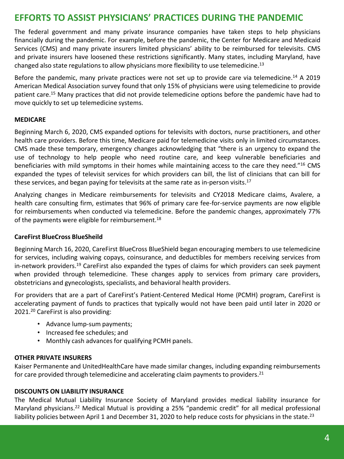## **EFFORTS TO ASSIST PHYSICIANS' PRACTICES DURING THE PANDEMIC**

The federal government and many private insurance companies have taken steps to help physicians financially during the pandemic. For example, before the pandemic, the Center for Medicare and Medicaid Services (CMS) and many private insurers limited physicians' ability to be reimbursed for televisits. CMS and private insurers have loosened these restrictions significantly. Many states, including Maryland, have changed also state regulations to allow physicians more flexibility to use telemedicine.<sup>13</sup>

Before the pandemic, many private practices were not set up to provide care via telemedicine.<sup>14</sup> A 2019 American Medical Association survey found that only 15% of physicians were using telemedicine to provide patient care. <sup>15</sup> Many practices that did not provide telemedicine options before the pandemic have had to move quickly to set up telemedicine systems.

#### **MEDICARE**

Beginning March 6, 2020, CMS expanded options for televisits with doctors, nurse practitioners, and other health care providers. Before this time, Medicare paid for telemedicine visits only in limited circumstances. CMS made these temporary, emergency changes acknowledging that "there is an urgency to expand the use of technology to help people who need routine care, and keep vulnerable beneficiaries and beneficiaries with mild symptoms in their homes while maintaining access to the care they need."<sup>16</sup> CMS expanded the types of televisit services for which providers can bill, the list of clinicians that can bill for these services, and began paying for televisits at the same rate as in-person visits.<sup>17</sup>

Analyzing changes in Medicare reimbursements for televisits and CY2018 Medicare claims, Avalere, a health care consulting firm, estimates that 96% of primary care fee-for-service payments are now eligible for reimbursements when conducted via telemedicine. Before the pandemic changes, approximately 77% of the payments were eligible for reimbursement.<sup>18</sup>

#### **CareFirst BlueCross BlueSheild**

Beginning March 16, 2020, CareFirst BlueCross BlueShield began encouraging members to use telemedicine for services, including waiving copays, coinsurance, and deductibles for members receiving services from in-network providers. <sup>19</sup> CareFirst also expanded the types of claims for which providers can seek payment when provided through telemedicine. These changes apply to services from primary care providers, obstetricians and gynecologists, specialists, and behavioral health providers.

For providers that are a part of CareFirst's Patient-Centered Medical Home (PCMH) program, CareFirst is accelerating payment of funds to practices that typically would not have been paid until later in 2020 or 2021. <sup>20</sup> CareFirst is also providing:

- Advance lump-sum payments;
- Increased fee schedules; and
- Monthly cash advances for qualifying PCMH panels.

#### **OTHER PRIVATE INSURERS**

Kaiser Permanente and UnitedHealthCare have made similar changes, including expanding reimbursements for care provided through telemedicine and accelerating claim payments to providers.<sup>21</sup>

#### **DISCOUNTS ON LIABILITY INSURANCE**

The Medical Mutual Liability Insurance Society of Maryland provides medical liability insurance for Maryland physicians.<sup>22</sup> Medical Mutual is providing a 25% "pandemic credit" for all medical professional liability policies between April 1 and December 31, 2020 to help reduce costs for physicians in the state.<sup>23</sup>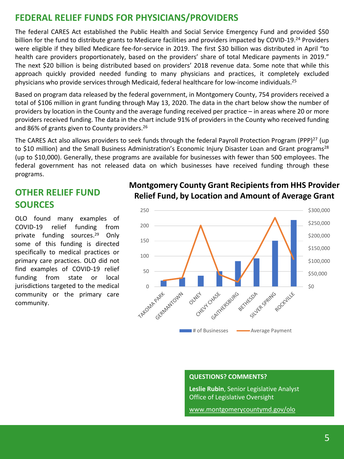## **FEDERAL RELIEF FUNDS FOR PHYSICIANS/PROVIDERS**

The federal CARES Act established the Public Health and Social Service Emergency Fund and provided \$50 billion for the fund to distribute grants to Medicare facilities and providers impacted by COVID-19.<sup>24</sup> Providers were eligible if they billed Medicare fee-for-service in 2019. The first \$30 billion was distributed in April "to health care providers proportionately, based on the providers' share of total Medicare payments in 2019." The next \$20 billion is being distributed based on providers' 2018 revenue data. Some note that while this approach quickly provided needed funding to many physicians and practices, it completely excluded physicians who provide services through Medicaid, federal healthcare for low-income individuals.<sup>25</sup>

Based on program data released by the federal government, in Montgomery County, 754 providers received a total of \$106 million in grant funding through May 13, 2020. The data in the chart below show the number of providers by location in the County and the average funding received per practice – in areas where 20 or more providers received funding. The data in the chart include 91% of providers in the County who received funding and 86% of grants given to County providers. 26

The CARES Act also allows providers to seek funds through the federal Payroll Protection Program (PPP)<sup>27</sup> (up to \$10 million) and the Small Business Administration's Economic Injury Disaster Loan and Grant programs<sup>28</sup> (up to \$10,000). Generally, these programs are available for businesses with fewer than 500 employees. The federal government has not released data on which businesses have received funding through these programs.

# **SOURCES**

OLO found many examples of COVID-19 relief funding from private funding sources. <sup>29</sup> Only some of this funding is directed specifically to medical practices or primary care practices. OLO did not find examples of COVID-19 relief funding from state or local jurisdictions targeted to the medical community or the primary care community.

## **Montgomery County Grant Recipients from HHS Provider OTHER RELIEF FUND**<br>Relief Fund, by Location and Amount of Average Grant



#### **QUESTIONS? COMMENTS?**

**Leslie Rubin**, Senior Legislative Analyst Office of Legislative Oversight

[www.montgomerycountymd.gov/olo](http://www.montgomerycountymd.gov/olo)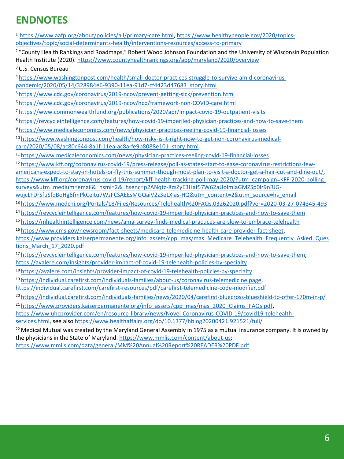# **ENDNOTES**

| <sup>1</sup> https://www.aafp.org/about/policies/all/primary-care.html, https://www.healthypeople.gov/2020/topics-                                                                                                        |
|---------------------------------------------------------------------------------------------------------------------------------------------------------------------------------------------------------------------------|
| objectives/topic/social-determinants-health/interventions-resources/access-to-primary                                                                                                                                     |
| <sup>2</sup> "County Health Rankings and Roadmaps," Robert Wood Johnson Foundation and the University of Wisconsin Population<br>Health Institute (2020). https://www.countyhealthrankings.org/app/maryland/2020/overview |
|                                                                                                                                                                                                                           |
| <sup>3</sup> U.S. Census Bureau                                                                                                                                                                                           |
| 4 https://www.washingtonpost.com/health/small-doctor-practices-struggle-to-survive-amid-coronavirus-                                                                                                                      |
| pandemic/2020/05/14/328984e6-9390-11ea-91d7-cf4423d47683 story.html                                                                                                                                                       |
| 5 https://www.cdc.gov/coronavirus/2019-ncov/prevent-getting-sick/prevention.html                                                                                                                                          |
| <sup>6</sup> https://www.cdc.gov/coronavirus/2019-ncov/hcp/framework-non-COVID-care.html                                                                                                                                  |
| 7 https://www.commonwealthfund.org/publications/2020/apr/impact-covid-19-outpatient-visits                                                                                                                                |
| 8 https://revcycleintelligence.com/features/how-covid-19-imperiled-physician-practices-and-how-to-save-them                                                                                                               |
| 9 https://www.medicaleconomics.com/news/physician-practices-reeling-covid-19-financial-losses                                                                                                                             |
| 10 https://www.washingtonpost.com/health/how-risky-is-it-right-now-to-get-non-coronavirus-medical-                                                                                                                        |
| care/2020/05/08/ac80c644-8a1f-11ea-ac8a-fe9b8088e101 story.html                                                                                                                                                           |
| 11 https://www.medicaleconomics.com/news/physician-practices-reeling-covid-19-financial-losses                                                                                                                            |
| 12 https://www.kff.org/coronavirus-covid-19/press-release/poll-as-states-start-to-ease-coronavirus-restrictions-few-                                                                                                      |
| americans-expect-to-stay-in-hotels-or-fly-this-summer-though-most-plan-to-visit-a-doctor-get-a-hair-cut-and-dine-out/,                                                                                                    |
| https://www.kff.org/coronavirus-covid-19/report/kff-health-tracking-poll-may-2020/?utm campaign=KFF-2020-polling-                                                                                                         |
| surveys&utm_medium=email&_hsmi=2&_hsenc=p2ANqtz-8zsZyE3Haf57W62aUolmlaGMZSp0lr9nRJG-                                                                                                                                      |
| wujcLFDrSfuSfqBoHg6fmPkCeitu7WzFCSAEEsMGQaiV2z3eLXias-HQ&utm_content=2&utm_source=hs_email                                                                                                                                |
| 13 https://www.medchi.org/Portals/18/Files/Resources/Telehealth%20FAQs.03262020.pdf?ver=2020-03-27-074345-493                                                                                                             |
| 14 https://revcycleintelligence.com/features/how-covid-19-imperiled-physician-practices-and-how-to-save-them                                                                                                              |
| 15 https://mhealthintelligence.com/news/ama-survey-finds-medical-practices-are-slow-to-embrace-telehealth                                                                                                                 |
| 16 https://www.cms.gov/newsroom/fact-sheets/medicare-telemedicine-health-care-provider-fact-sheet,                                                                                                                        |
| https://www.providers.kaiserpermanente.org/info assets/cpp mas/mas Medicare Telehealth Frequently Asked Ques                                                                                                              |
| tions March 17 2020.pdf                                                                                                                                                                                                   |
| 17 https://revcycleintelligence.com/features/how-covid-19-imperiled-physician-practices-and-how-to-save-them,                                                                                                             |
| https://avalere.com/insights/provider-impact-of-covid-19-telehealth-policies-by-specialty                                                                                                                                 |
| 18 https://avalere.com/insights/provider-impact-of-covid-19-telehealth-policies-by-specialty                                                                                                                              |
| 19 https://individual.carefirst.com/individuals-families/about-us/coronavirus-telemedicine.page,                                                                                                                          |
| https://individual.carefirst.com/carefirst-resources/pdf/carefirst-telemedicine-code-modifier.pdf                                                                                                                         |
| 20 https://individual.carefirst.com/individuals-families/news/2020/04/carefirst-bluecross-blueshield-to-offer-170m-in-p/                                                                                                  |
| <sup>21</sup> https://www.providers.kaiserpermanente.org/info assets/cpp mas/mas 2020 Claims FAQs.pdf,                                                                                                                    |
| https://www.uhcprovider.com/en/resource-library/news/Novel-Coronavirus-COVID-19/covid19-telehealth-                                                                                                                       |
| services.html, see also https://www.healthaffairs.org/do/10.1377/hblog20200421.921521/full/                                                                                                                               |
| <sup>22</sup> Medical Mutual was created by the Maryland General Assembly in 1975 as a mutual insurance company. It is owned by                                                                                           |
| the physicians in the State of Maryland. https://www.mmlis.com/content/about-us;                                                                                                                                          |
| https://www.mmlis.com/data/general/MM%20Annual%20Report%20READER%20PDF.pdf                                                                                                                                                |